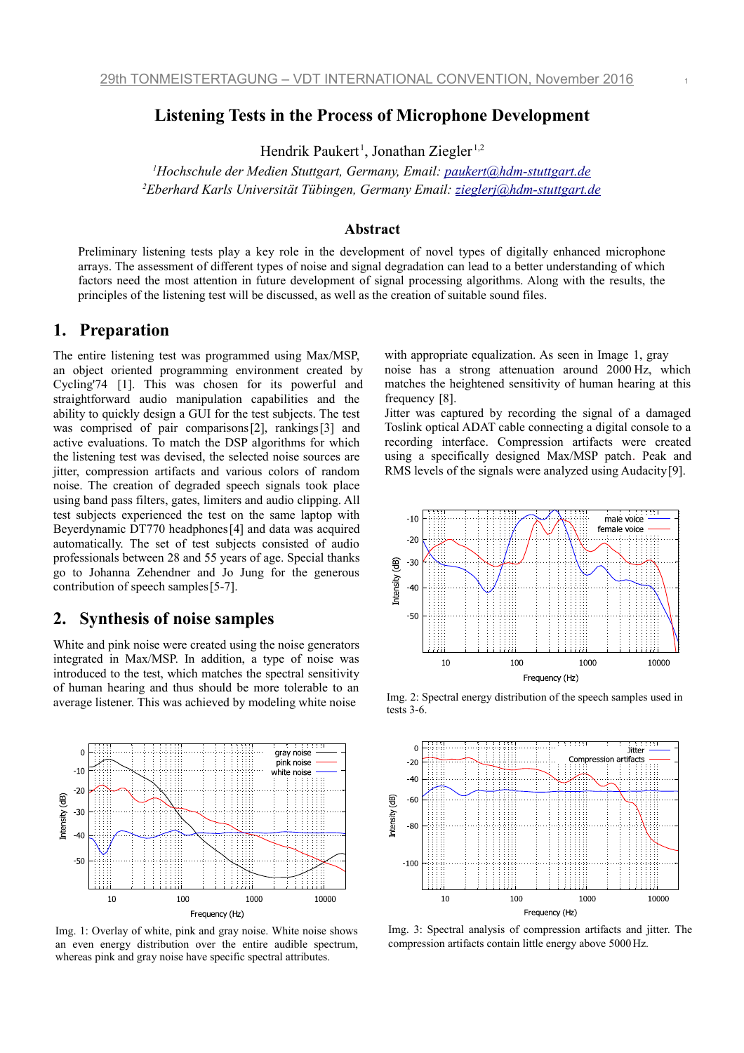# **Listening Tests in the Process of Microphone Development**

Hendrik Paukert<sup>1</sup>, Jonathan Ziegler<sup>1,2</sup>

*<sup>1</sup>Hochschule der Medien Stuttgart, Germany, Email: [paukert@hdm-stuttgart.de](mailto:paukert@hdm-stuttgart.de) <sup>2</sup>Eberhard Karls Universität Tübingen, Germany Email: [zieglerj@hdm-stuttgart.de](mailto:zieglerj@hdm-stuttgart.de)*

## **Abstract**

Preliminary listening tests play a key role in the development of novel types of digitally enhanced microphone arrays. The assessment of different types of noise and signal degradation can lead to a better understanding of which factors need the most attention in future development of signal processing algorithms. Along with the results, the principles of the listening test will be discussed, as well as the creation of suitable sound files.

## **1. Preparation**

The entire listening test was programmed using Max/MSP, an object oriented programming environment created by Cycling'74  [1]. This was chosen for its powerful and straightforward audio manipulation capabilities and the ability to quickly design a GUI for the test subjects. The test was comprised of pair comparisons $[2]$ , rankings $[3]$  and active evaluations. To match the DSP algorithms for which the listening test was devised, the selected noise sources are jitter, compression artifacts and various colors of random noise. The creation of degraded speech signals took place using band pass filters, gates, limiters and audio clipping. All test subjects experienced the test on the same laptop with Beyerdynamic DT770 headphones<sup>[4]</sup> and data was acquired automatically. The set of test subjects consisted of audio professionals between 28 and 55 years of age. Special thanks go to Johanna Zehendner and Jo Jung for the generous contribution of speech samples [5-7].

## **2. Synthesis of noise samples**

White and pink noise were created using the noise generators integrated in Max/MSP. In addition, a type of noise was introduced to the test, which matches the spectral sensitivity of human hearing and thus should be more tolerable to an average listener. This was achieved by modeling white noise



<span id="page-0-0"></span>Img. 1: Overlay of white, pink and gray noise. White noise shows an even energy distribution over the entire audible spectrum, whereas pink and gray noise have specific spectral attributes.

with appropriate equalization. As seen in Image 1, g[ray](#page-0-0) noise has a strong attenuation around 2000 Hz, which matches the heightened sensitivity of human hearing at this frequency  [8].

Jitter was captured by recording the signal of a damaged Toslink optical ADAT cable connecting a digital console to a recording interface. Compression artifacts were created using a specifically designed Max/MSP patch. Peak and RMS levels of the signals were analyzed using Audacity [9].



Img. 2: Spectral energy distribution of the speech samples used in tests 3-6.



Img. 3: Spectral analysis of compression artifacts and jitter. The compression artifacts contain little energy above 5000Hz.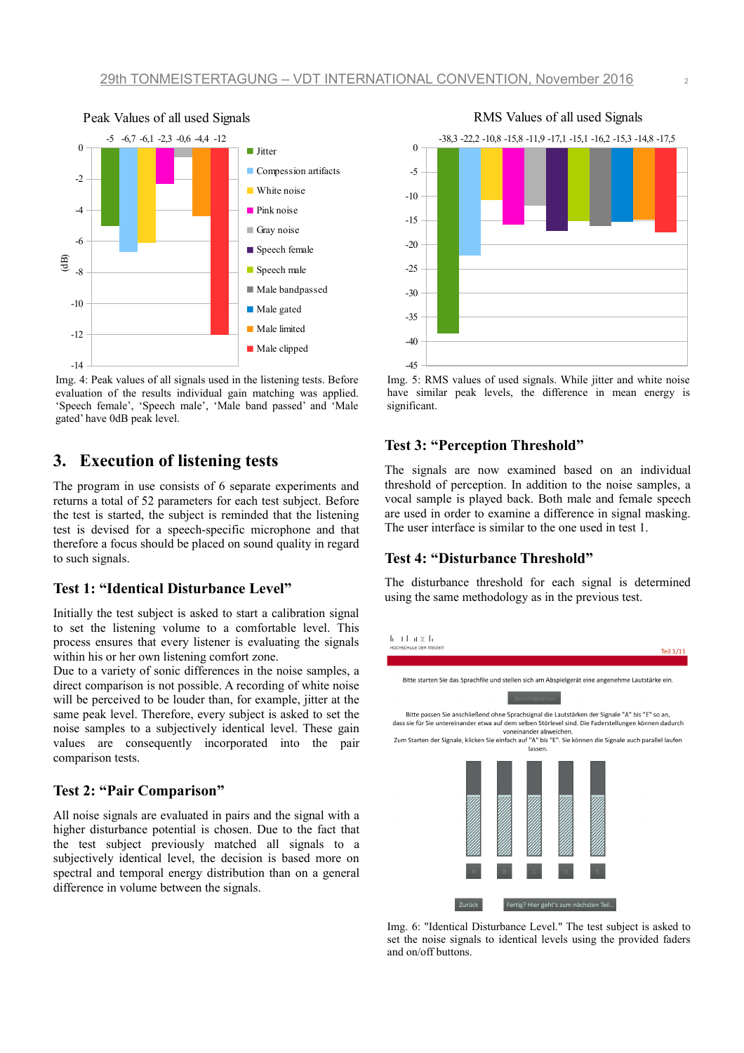

<span id="page-1-0"></span>Img. 4: Peak values of all signals used in the listening tests. Before evaluation of the results individual gain matching was applied. 'Speech female', 'Speech male', 'Male band passed' and 'Male gated' have 0dB peak level.

# **3. Execution of listening tests**

The program in use consists of 6 separate experiments and returns a total of 52 parameters for each test subject. Before the test is started, the subject is reminded that the listening test is devised for a speech-specific microphone and that therefore a focus should be placed on sound quality in regard to such signals.

### **Test 1: "Identical Disturbance Level"**

Initially the test subject is asked to start a calibration signal to set the listening volume to a comfortable level. This process ensures that every listener is evaluating the signals within his or her own listening comfort zone.

Due to a variety of sonic differences in the noise samples, a direct comparison is not possible. A recording of white noise will be perceived to be louder than, for example, jitter at the same peak level. Therefore, every subject is asked to set the noise samples to a subjectively identical level. These gain values are consequently incorporated into the pair comparison tests.

## **Test 2: "Pair Comparison"**

All noise signals are evaluated in pairs and the signal with a higher disturbance potential is chosen. Due to the fact that the test subject previously matched all signals to a subjectively identical level, the decision is based more on spectral and temporal energy distribution than on a general difference in volume between the signals.



<span id="page-1-1"></span>Img. 5: RMS values of used signals. While jitter and white noise have similar peak levels, the difference in mean energy is significant.

## **Test 3: "Perception Threshold"**

The signals are now examined based on an individual threshold of perception. In addition to the noise samples, a vocal sample is played back. Both male and female speech are used in order to examine a difference in signal masking. The user interface is similar to the one used in test 1.

### **Test 4: "Disturbance Threshold"**

The disturbance threshold for each signal is determined using the same methodology as in the previous test.



Img. 6: "Identical Disturbance Level." The test subject is asked to set the noise signals to identical levels using the provided faders and on/off buttons.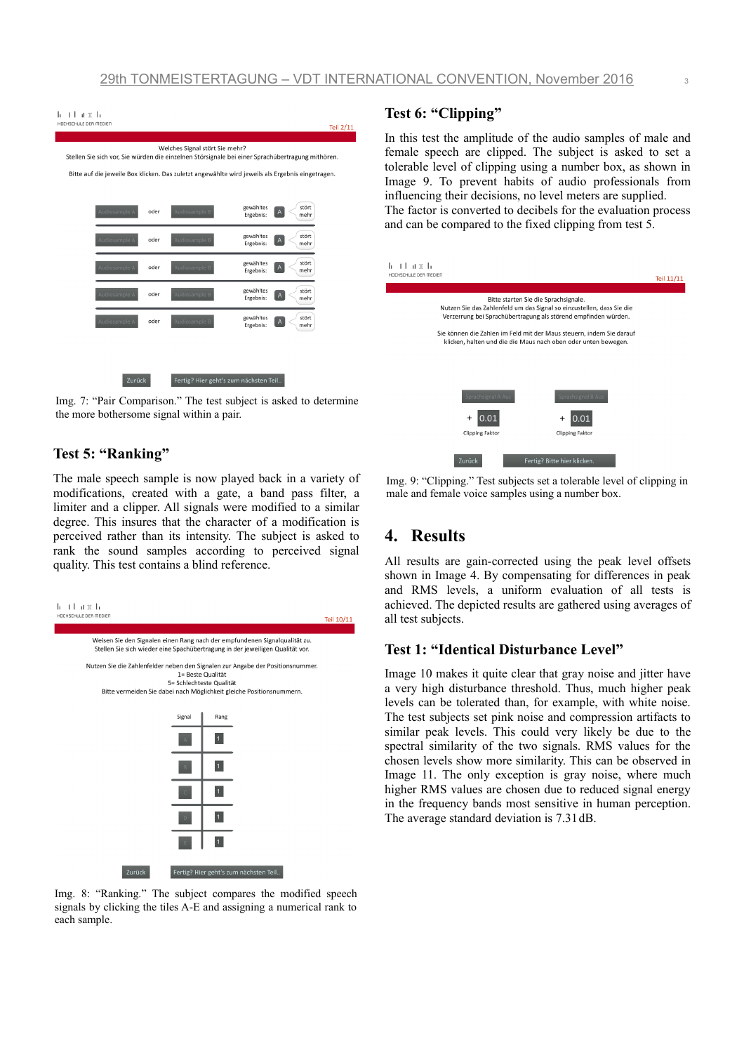

Img. 7: "Pair Comparison." The test subject is asked to determine the more bothersome signal within a pair.

## **Test 5: "Ranking"**

The male speech sample is now played back in a variety of modifications, created with a gate, a band pass filter, a limiter and a clipper. All signals were modified to a similar degree. This insures that the character of a modification is perceived rather than its intensity. The subject is asked to rank the sound samples according to perceived signal quality. This test contains a blind reference.



Img. 8: "Ranking." The subject compares the modified speech signals by clicking the tiles A-E and assigning a numerical rank to each sample.

### **Test 6: "Clipping"**

In this test the amplitude of the audio samples of male and female speech are clipped. The subject is asked to set a tolerable level of clipping using a number box, as shown in Image [9.](#page-2-0) To prevent habits of audio professionals from influencing their decisions, no level meters are supplied. The factor is converted to decibels for the evaluation process and can be compared to the fixed clipping from test 5.



<span id="page-2-0"></span>Img. 9: "Clipping." Test subjects set a tolerable level of clipping in male and female voice samples using a number box.

# **4. Results**

All results are gain-corrected using the peak level offsets shown in Image [4.](#page-1-0) By compensating for differences in peak and RMS levels, a uniform evaluation of all tests is achieved. The depicted results are gathered using averages of all test subjects.

### **Test 1: "Identical Disturbance Level"**

Image [10](#page-3-1) makes it quite clear that gray noise and jitter have a very high disturbance threshold. Thus, much higher peak levels can be tolerated than, for example, with white noise. The test subjects set pink noise and compression artifacts to similar peak levels. This could very likely be due to the spectral similarity of the two signals. RMS values for the chosen levels show more similarity. This can be observed in Image [11.](#page-3-0) The only exception is gray noise, where much higher RMS values are chosen due to reduced signal energy in the frequency bands most sensitive in human perception. The average standard deviation is 7.31dB.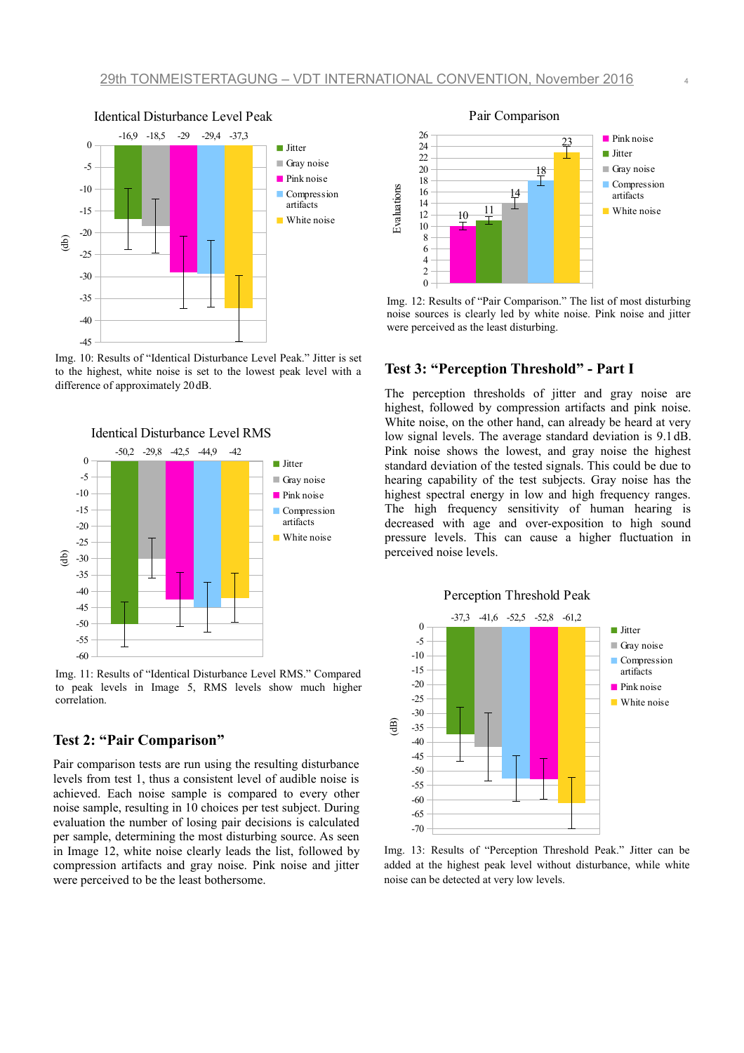

<span id="page-3-1"></span>Img. 10: Results of "Identical Disturbance Level Peak." Jitter is set to the highest, white noise is set to the lowest peak level with a difference of approximately 20dB.



<span id="page-3-0"></span>Img. 11: Results of "Identical Disturbance Level RMS." Compared to peak levels in Image [5,](#page-1-1) RMS levels show much higher correlation.

## **Test 2: "Pair Comparison"**

Pair comparison tests are run using the resulting disturbance levels from test 1, thus a consistent level of audible noise is achieved. Each noise sample is compared to every other noise sample, resulting in 10 choices per test subject. During evaluation the number of losing pair decisions is calculated per sample, determining the most disturbing source. As seen in Image [12,](#page-3-2) white noise clearly leads the list, followed by compression artifacts and gray noise. Pink noise and jitter were perceived to be the least bothersome.



<span id="page-3-2"></span>Img. 12: Results of "Pair Comparison." The list of most disturbing noise sources is clearly led by white noise. Pink noise and jitter were perceived as the least disturbing.

### **Test 3: "Perception Threshold" - Part I**

The perception thresholds of jitter and gray noise are highest, followed by compression artifacts and pink noise. White noise, on the other hand, can already be heard at very low signal levels. The average standard deviation is 9.1dB. Pink noise shows the lowest, and gray noise the highest standard deviation of the tested signals. This could be due to hearing capability of the test subjects. Gray noise has the highest spectral energy in low and high frequency ranges. The high frequency sensitivity of human hearing is decreased with age and over-exposition to high sound pressure levels. This can cause a higher fluctuation in perceived noise levels.



Img. 13: Results of "Perception Threshold Peak." Jitter can be added at the highest peak level without disturbance, while white noise can be detected at very low levels.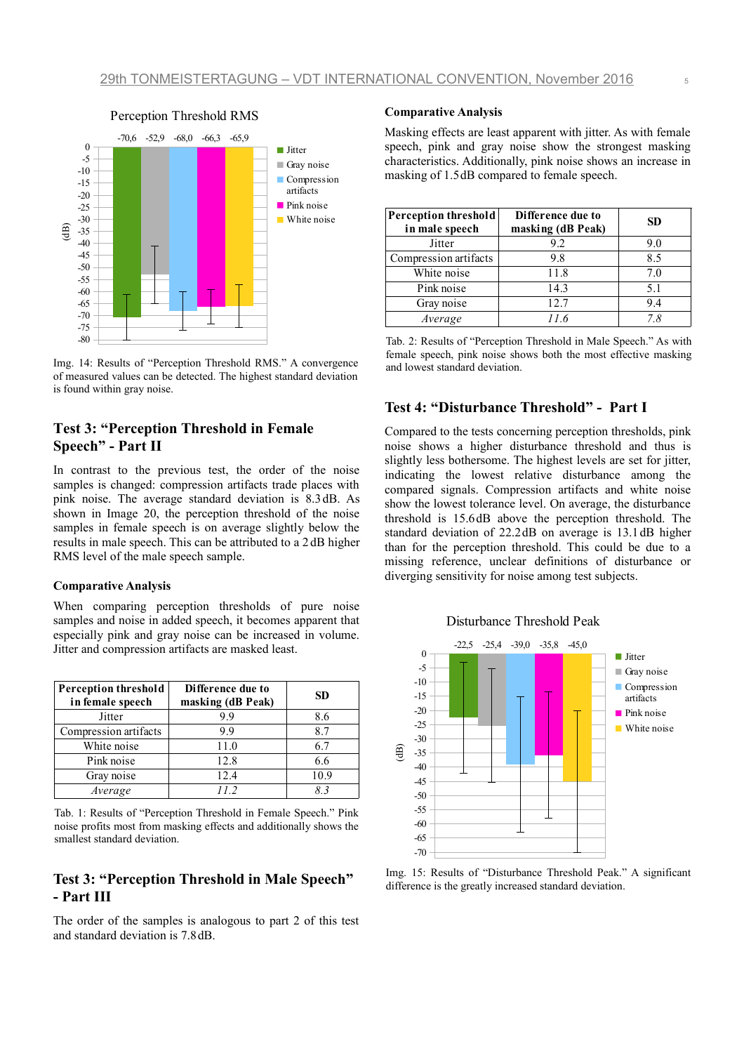

Img. 14: Results of "Perception Threshold RMS." A convergence of measured values can be detected. The highest standard deviation is found within gray noise.

# **Test 3: "Perception Threshold in Female Speech" - Part II**

In contrast to the previous test, the order of the noise samples is changed: compression artifacts trade places with pink noise. The average standard deviation is 8.3 dB. As shown in Image [20,](#page-6-0) the perception threshold of the noise samples in female speech is on average slightly below the results in male speech. This can be attributed to a 2 dB higher RMS level of the male speech sample.

#### **Comparative Analysis**

When comparing perception thresholds of pure noise samples and noise in added speech, it becomes apparent that especially pink and gray noise can be increased in volume. Jitter and compression artifacts are masked least.

| <b>Perception threshold</b><br>in female speech | Difference due to<br>masking (dB Peak) | SD.  |
|-------------------------------------------------|----------------------------------------|------|
| Jitter                                          | 9.9                                    | 8.6  |
| Compression artifacts                           | 99                                     | 8.7  |
| White noise                                     | 11.0                                   | 6.7  |
| Pink noise                                      | 12.8                                   | 6.6  |
| Gray noise                                      | 12.4                                   | 10.9 |
| Average                                         | 112                                    | 83   |

Tab. 1: Results of "Perception Threshold in Female Speech." Pink noise profits most from masking effects and additionally shows the smallest standard deviation.

## **Test 3: "Perception Threshold in Male Speech" - Part III**

The order of the samples is analogous to part 2 of this test and standard deviation is 7.8 dB.

#### **Comparative Analysis**

Masking effects are least apparent with jitter. As with female speech, pink and gray noise show the strongest masking characteristics. Additionally, pink noise shows an increase in masking of 1.5 $dB$  compared to female speech.

| <b>Perception threshold</b><br>in male speech | Difference due to<br>masking (dB Peak) | SD  |
|-----------------------------------------------|----------------------------------------|-----|
| Jitter                                        | 9.2                                    | 9.0 |
| Compression artifacts                         | 9.8                                    | 8.5 |
| White noise                                   | 11.8                                   | 7.0 |
| Pink noise                                    | 14.3                                   | 5.1 |
| Gray noise                                    | 12.7                                   | 9.4 |
| Average                                       | 116                                    | 7 8 |

Tab. 2: Results of "Perception Threshold in Male Speech." As with female speech, pink noise shows both the most effective masking and lowest standard deviation.

### **Test 4: "Disturbance Threshold" - Part I**

Compared to the tests concerning perception thresholds, pink noise shows a higher disturbance threshold and thus is slightly less bothersome. The highest levels are set for jitter, indicating the lowest relative disturbance among the compared signals. Compression artifacts and white noise show the lowest tolerance level. On average, the disturbance threshold is 15.6 dB above the perception threshold. The standard deviation of 22.2 dB on average is 13.1 dB higher than for the perception threshold. This could be due to a missing reference, unclear definitions of disturbance or diverging sensitivity for noise among test subjects.





Img. 15: Results of "Disturbance Threshold Peak." A significant difference is the greatly increased standard deviation.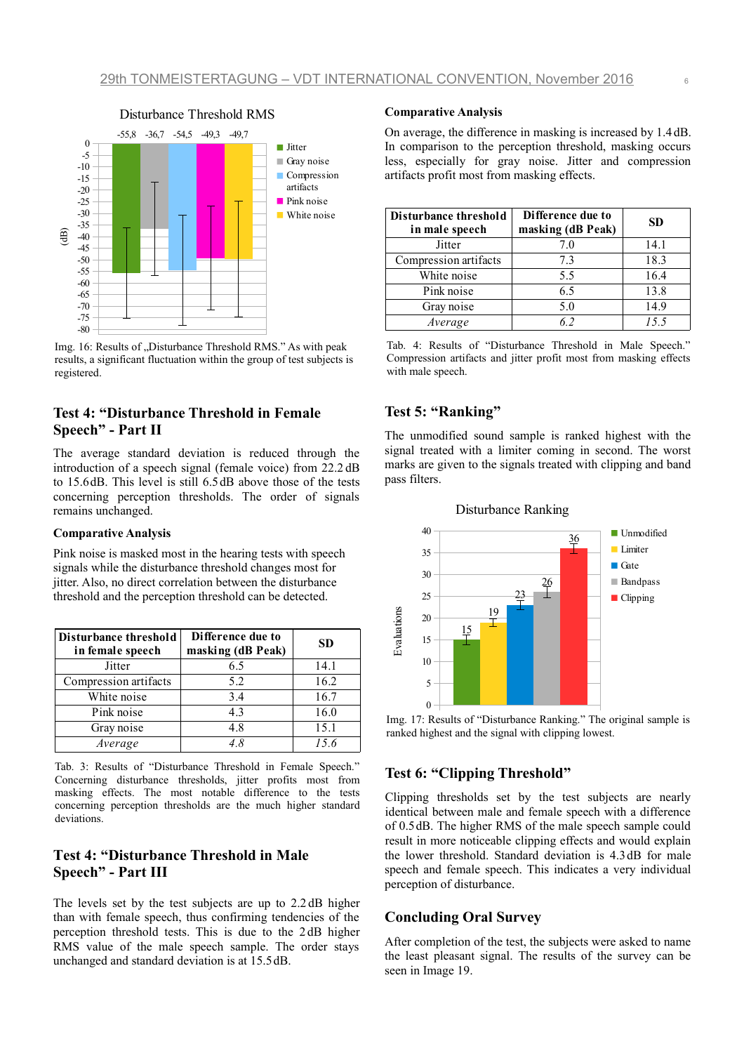

Img. 16: Results of "Disturbance Threshold RMS." As with peak results, a significant fluctuation within the group of test subjects is registered.

## **Test 4: "Disturbance Threshold in Female Speech" - Part II**

The average standard deviation is reduced through the introduction of a speech signal (female voice) from 22.2 dB to 15.6 dB. This level is still 6.5 dB above those of the tests concerning perception thresholds. The order of signals remains unchanged.

#### **Comparative Analysis**

Pink noise is masked most in the hearing tests with speech signals while the disturbance threshold changes most for jitter. Also, no direct correlation between the disturbance threshold and the perception threshold can be detected.

| Disturbance threshold<br>in female speech | Difference due to<br>masking (dB Peak) | <b>SD</b> |
|-------------------------------------------|----------------------------------------|-----------|
| Jitter                                    | 6.5                                    | 14.1      |
| Compression artifacts                     | 5.2                                    | 16.2      |
| White noise                               | 3.4                                    | 16.7      |
| Pink noise                                | 4.3                                    | 16.0      |
| Gray noise                                | 4.8                                    | 15.1      |
| Average                                   |                                        | 15.6      |

Tab. 3: Results of "Disturbance Threshold in Female Speech." Concerning disturbance thresholds, jitter profits most from masking effects. The most notable difference to the tests concerning perception thresholds are the much higher standard deviations.

# **Test 4: "Disturbance Threshold in Male Speech" - Part III**

The levels set by the test subjects are up to 2.2 dB higher than with female speech, thus confirming tendencies of the perception threshold tests. This is due to the 2 dB higher RMS value of the male speech sample. The order stays unchanged and standard deviation is at 15.5 dB.

#### **Comparative Analysis**

On average, the difference in masking is increased by 1.4 dB. In comparison to the perception threshold, masking occurs less, especially for gray noise. Jitter and compression artifacts profit most from masking effects.

| Disturbance threshold<br>in male speech | Difference due to<br>masking (dB Peak) | <b>SD</b> |
|-----------------------------------------|----------------------------------------|-----------|
| Jitter                                  | 7.0                                    | 14.1      |
| Compression artifacts                   | 7.3                                    | 18.3      |
| White noise                             | 5.5                                    | 16.4      |
| Pink noise                              | 6.5                                    | 13.8      |
| Gray noise                              | 5.0                                    | 14.9      |
| Average                                 | 62                                     | 15.5      |

Tab. 4: Results of "Disturbance Threshold in Male Speech." Compression artifacts and jitter profit most from masking effects with male speech.

## **Test 5: "Ranking"**

The unmodified sound sample is ranked highest with the signal treated with a limiter coming in second. The worst marks are given to the signals treated with clipping and band pass filters.



Img. 17: Results of "Disturbance Ranking." The original sample is ranked highest and the signal with clipping lowest.

## **Test 6: "Clipping Threshold"**

Clipping thresholds set by the test subjects are nearly identical between male and female speech with a difference of 0.5 dB. The higher RMS of the male speech sample could result in more noticeable clipping effects and would explain the lower threshold. Standard deviation is 4.3 dB for male speech and female speech. This indicates a very individual perception of disturbance.

### **Concluding Oral Survey**

After completion of the test, the subjects were asked to name the least pleasant signal. The results of the survey can be seen in Image [19.](#page-6-1)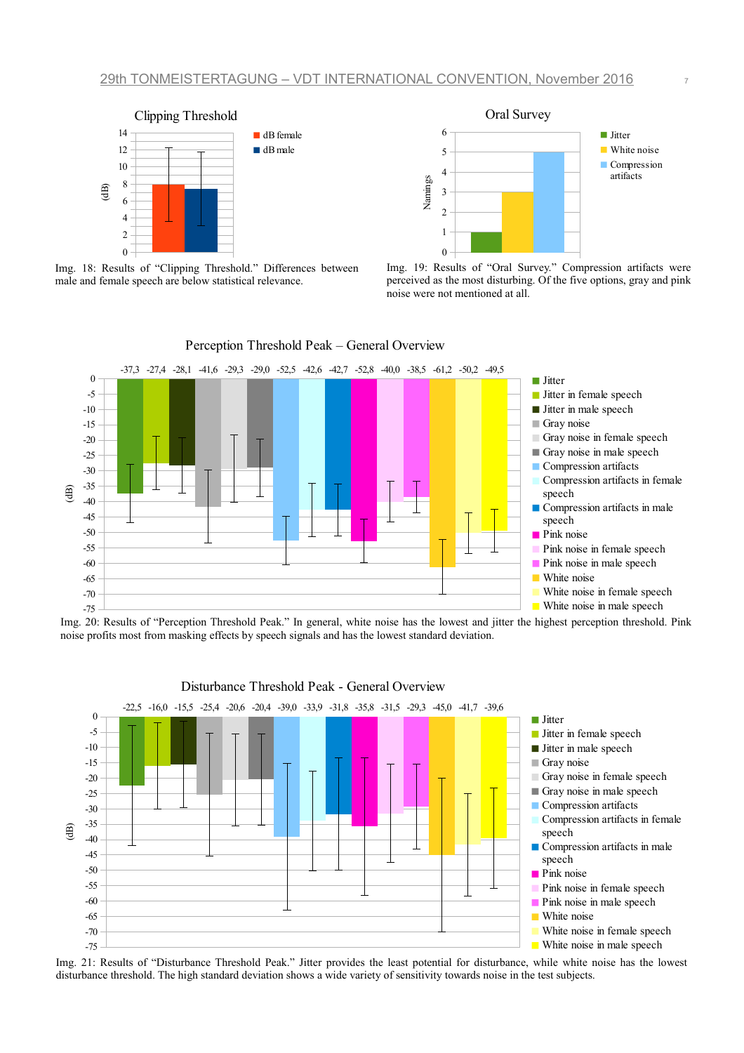



Img. 18: Results of "Clipping Threshold." Differences between male and female speech are below statistical relevance.

<span id="page-6-1"></span>



<span id="page-6-0"></span>Img. 20: Results of "Perception Threshold Peak." In general, white noise has the lowest and jitter the highest perception threshold. Pink noise profits most from masking effects by speech signals and has the lowest standard deviation.



Img. 21: Results of "Disturbance Threshold Peak." Jitter provides the least potential for disturbance, while white noise has the lowest disturbance threshold. The high standard deviation shows a wide variety of sensitivity towards noise in the test subjects.

Perception Threshold Peak – General Overview